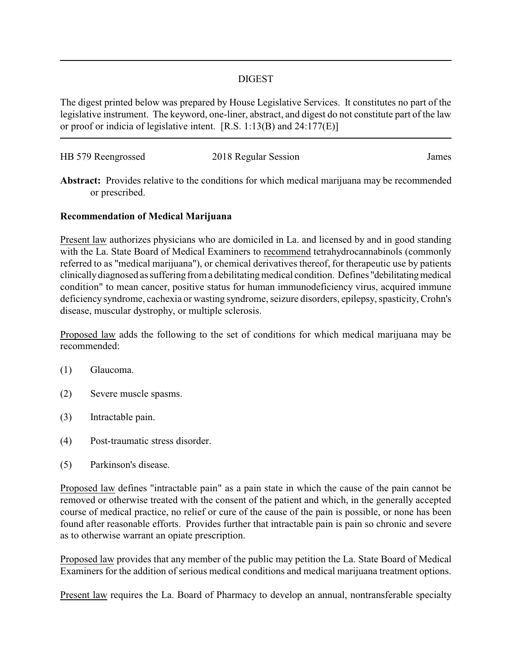#### DIGEST

The digest printed below was prepared by House Legislative Services. It constitutes no part of the legislative instrument. The keyword, one-liner, abstract, and digest do not constitute part of the law or proof or indicia of legislative intent. [R.S. 1:13(B) and 24:177(E)]

| HB 579 Reengrossed | 2018 Regular Session | James |
|--------------------|----------------------|-------|
|                    |                      |       |

**Abstract:** Provides relative to the conditions for which medical marijuana may be recommended or prescribed.

### **Recommendation of Medical Marijuana**

Present law authorizes physicians who are domiciled in La. and licensed by and in good standing with the La. State Board of Medical Examiners to recommend tetrahydrocannabinols (commonly referred to as "medical marijuana"), or chemical derivatives thereof, for therapeutic use by patients clinicallydiagnosed as suffering from a debilitatingmedical condition. Defines "debilitatingmedical condition" to mean cancer, positive status for human immunodeficiency virus, acquired immune deficiency syndrome, cachexia or wasting syndrome, seizure disorders, epilepsy, spasticity, Crohn's disease, muscular dystrophy, or multiple sclerosis.

Proposed law adds the following to the set of conditions for which medical marijuana may be recommended:

- (1) Glaucoma.
- (2) Severe muscle spasms.
- (3) Intractable pain.
- (4) Post-traumatic stress disorder.
- (5) Parkinson's disease.

Proposed law defines "intractable pain" as a pain state in which the cause of the pain cannot be removed or otherwise treated with the consent of the patient and which, in the generally accepted course of medical practice, no relief or cure of the cause of the pain is possible, or none has been found after reasonable efforts. Provides further that intractable pain is pain so chronic and severe as to otherwise warrant an opiate prescription.

Proposed law provides that any member of the public may petition the La. State Board of Medical Examiners for the addition of serious medical conditions and medical marijuana treatment options.

Present law requires the La. Board of Pharmacy to develop an annual, nontransferable specialty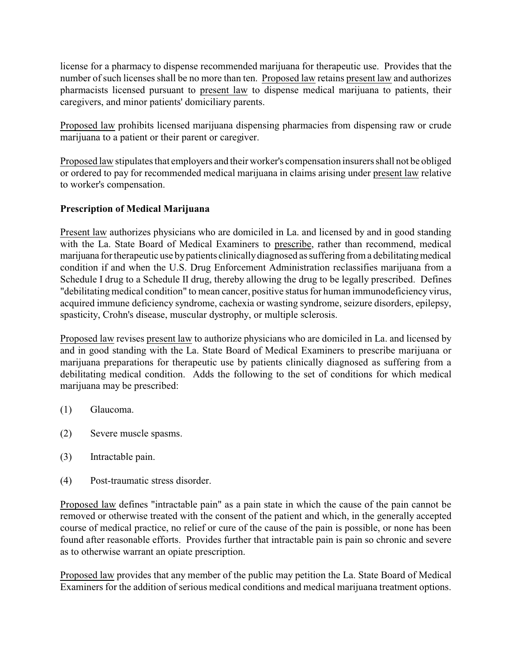license for a pharmacy to dispense recommended marijuana for therapeutic use. Provides that the number of such licenses shall be no more than ten. Proposed law retains present law and authorizes pharmacists licensed pursuant to present law to dispense medical marijuana to patients, their caregivers, and minor patients' domiciliary parents.

Proposed law prohibits licensed marijuana dispensing pharmacies from dispensing raw or crude marijuana to a patient or their parent or caregiver.

Proposed law stipulates that employers and their worker's compensation insurers shall not be obliged or ordered to pay for recommended medical marijuana in claims arising under present law relative to worker's compensation.

# **Prescription of Medical Marijuana**

Present law authorizes physicians who are domiciled in La. and licensed by and in good standing with the La. State Board of Medical Examiners to prescribe, rather than recommend, medical marijuana for therapeutic use by patients clinically diagnosed as suffering from a debilitating medical condition if and when the U.S. Drug Enforcement Administration reclassifies marijuana from a Schedule I drug to a Schedule II drug, thereby allowing the drug to be legally prescribed. Defines "debilitating medical condition" to mean cancer, positive status for human immunodeficiency virus, acquired immune deficiency syndrome, cachexia or wasting syndrome, seizure disorders, epilepsy, spasticity, Crohn's disease, muscular dystrophy, or multiple sclerosis.

Proposed law revises present law to authorize physicians who are domiciled in La. and licensed by and in good standing with the La. State Board of Medical Examiners to prescribe marijuana or marijuana preparations for therapeutic use by patients clinically diagnosed as suffering from a debilitating medical condition. Adds the following to the set of conditions for which medical marijuana may be prescribed:

- (1) Glaucoma.
- (2) Severe muscle spasms.
- (3) Intractable pain.
- (4) Post-traumatic stress disorder.

Proposed law defines "intractable pain" as a pain state in which the cause of the pain cannot be removed or otherwise treated with the consent of the patient and which, in the generally accepted course of medical practice, no relief or cure of the cause of the pain is possible, or none has been found after reasonable efforts. Provides further that intractable pain is pain so chronic and severe as to otherwise warrant an opiate prescription.

Proposed law provides that any member of the public may petition the La. State Board of Medical Examiners for the addition of serious medical conditions and medical marijuana treatment options.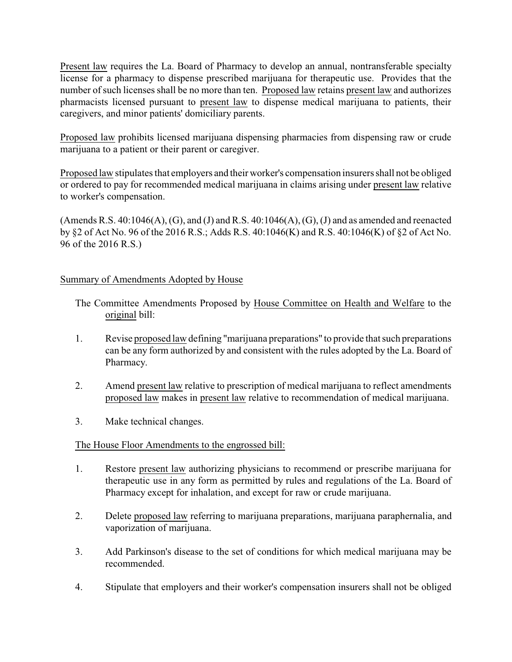Present law requires the La. Board of Pharmacy to develop an annual, nontransferable specialty license for a pharmacy to dispense prescribed marijuana for therapeutic use. Provides that the number of such licenses shall be no more than ten. Proposed law retains present law and authorizes pharmacists licensed pursuant to present law to dispense medical marijuana to patients, their caregivers, and minor patients' domiciliary parents.

Proposed law prohibits licensed marijuana dispensing pharmacies from dispensing raw or crude marijuana to a patient or their parent or caregiver.

Proposed law stipulates that employers and their worker's compensation insurers shall not be obliged or ordered to pay for recommended medical marijuana in claims arising under present law relative to worker's compensation.

(Amends R.S.  $40:1046(A)$ , (G), and (J) and R.S.  $40:1046(A)$ , (G), (J) and as amended and reenacted by §2 of Act No. 96 of the 2016 R.S.; Adds R.S. 40:1046(K) and R.S. 40:1046(K) of §2 of Act No. 96 of the 2016 R.S.)

## Summary of Amendments Adopted by House

- The Committee Amendments Proposed by House Committee on Health and Welfare to the original bill:
- 1. Revise proposed law defining "marijuana preparations" to provide that such preparations can be any form authorized by and consistent with the rules adopted by the La. Board of Pharmacy.
- 2. Amend present law relative to prescription of medical marijuana to reflect amendments proposed law makes in present law relative to recommendation of medical marijuana.
- 3. Make technical changes.

## The House Floor Amendments to the engrossed bill:

- 1. Restore present law authorizing physicians to recommend or prescribe marijuana for therapeutic use in any form as permitted by rules and regulations of the La. Board of Pharmacy except for inhalation, and except for raw or crude marijuana.
- 2. Delete proposed law referring to marijuana preparations, marijuana paraphernalia, and vaporization of marijuana.
- 3. Add Parkinson's disease to the set of conditions for which medical marijuana may be recommended.
- 4. Stipulate that employers and their worker's compensation insurers shall not be obliged